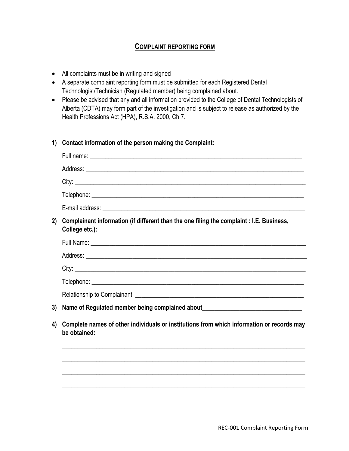## **COMPLAINT REPORTING FORM**

- All complaints must be in writing and signed
- A separate complaint reporting form must be submitted for each Registered Dental Technologist/Technician (Regulated member) being complained about.
- Please be advised that any and all information provided to the College of Dental Technologists of Alberta (CDTA) may form part of the investigation and is subject to release as authorized by the Health Professions Act (HPA), R.S.A. 2000, Ch 7.
- **1) Contact information of the person making the Complaint:**

| 2) | Complainant information (if different than the one filing the complaint : I.E. Business,<br>College etc.):     |
|----|----------------------------------------------------------------------------------------------------------------|
|    |                                                                                                                |
|    |                                                                                                                |
|    |                                                                                                                |
|    |                                                                                                                |
|    |                                                                                                                |
| 3) | Name of Regulated member being complained about Manus Manus Manus Manus Manus Manus Manus Manus Manus Manus Ma |
| 4) | Complete names of other individuals or institutions from which information or records may<br>be obtained:      |
|    |                                                                                                                |
|    |                                                                                                                |
|    |                                                                                                                |

\_\_\_\_\_\_\_\_\_\_\_\_\_\_\_\_\_\_\_\_\_\_\_\_\_\_\_\_\_\_\_\_\_\_\_\_\_\_\_\_\_\_\_\_\_\_\_\_\_\_\_\_\_\_\_\_\_\_\_\_\_\_\_\_\_\_\_\_\_\_\_\_\_\_\_\_\_\_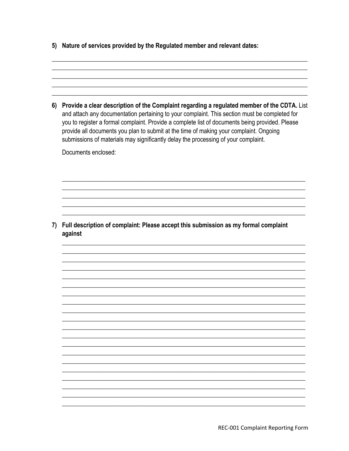5) Nature of services provided by the Regulated member and relevant dates:

6) Provide a clear description of the Complaint regarding a regulated member of the CDTA. List and attach any documentation pertaining to your complaint. This section must be completed for you to register a formal complaint. Provide a complete list of documents being provided. Please provide all documents you plan to submit at the time of making your complaint. Ongoing submissions of materials may significantly delay the processing of your complaint. Documents enclosed: 7) Full description of complaint: Please accept this submission as my formal complaint against